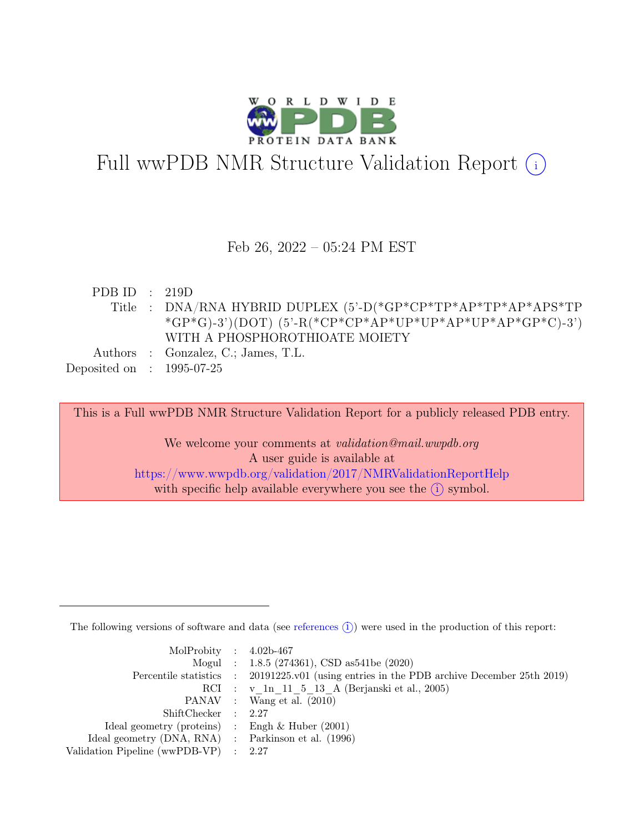

# Full wwPDB NMR Structure Validation Report (i)

#### Feb 26, 2022 – 05:24 PM EST

| PDB ID : $219D$             |                                                                                  |
|-----------------------------|----------------------------------------------------------------------------------|
|                             | Title : DNA/RNA HYBRID DUPLEX $(5'-D)^*GP^*CP^*TP^*AP^*TP^*AP^*TP^*AP^*TP^*TP^*$ |
|                             | *GP*G)-3')(DOT)(5'-R(*CP*CP*AP*UP*UP*AP*UP*AP*GP*C)-3')                          |
|                             | WITH A PHOSPHOROTHIOATE MOIETY                                                   |
|                             | Authors : Gonzalez, C.; James, T.L.                                              |
| Deposited on : $1995-07-25$ |                                                                                  |

This is a Full wwPDB NMR Structure Validation Report for a publicly released PDB entry.

We welcome your comments at *validation@mail.wwpdb.org* A user guide is available at <https://www.wwpdb.org/validation/2017/NMRValidationReportHelp> with specific help available everywhere you see the  $(i)$  symbol.

The following versions of software and data (see [references](https://www.wwpdb.org/validation/2017/NMRValidationReportHelp#references)  $(i)$ ) were used in the production of this report:

| MolProbity : $4.02b-467$                            |                                                                                            |
|-----------------------------------------------------|--------------------------------------------------------------------------------------------|
|                                                     | Mogul : 1.8.5 (274361), CSD as541be (2020)                                                 |
|                                                     | Percentile statistics : 20191225.v01 (using entries in the PDB archive December 25th 2019) |
|                                                     | RCI : v 1n 11 5 13 A (Berjanski et al., 2005)                                              |
|                                                     | PANAV : Wang et al. (2010)                                                                 |
| ShiftChecker : 2.27                                 |                                                                                            |
| Ideal geometry (proteins) : Engh $\&$ Huber (2001)  |                                                                                            |
| Ideal geometry (DNA, RNA) : Parkinson et al. (1996) |                                                                                            |
| Validation Pipeline (wwPDB-VP) : 2.27               |                                                                                            |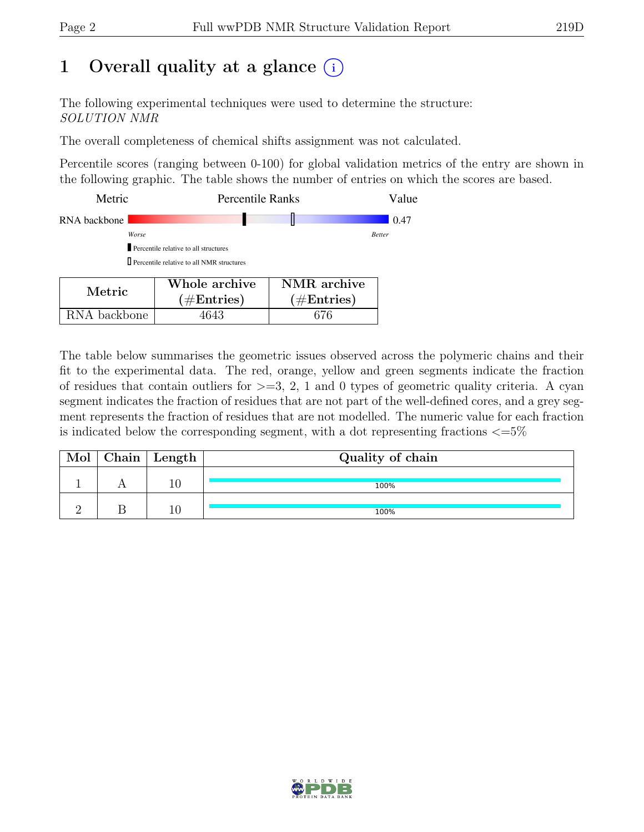## 1 Overall quality at a glance  $(i)$

The following experimental techniques were used to determine the structure: SOLUTION NMR

The overall completeness of chemical shifts assignment was not calculated.

Percentile scores (ranging between 0-100) for global validation metrics of the entry are shown in the following graphic. The table shows the number of entries on which the scores are based.

| Metric       | <b>Percentile Ranks</b>                            |                         | Value         |
|--------------|----------------------------------------------------|-------------------------|---------------|
| RNA backbone |                                                    |                         | 0.47          |
| Worse        |                                                    |                         | <b>Better</b> |
|              | Percentile relative to all structures              |                         |               |
|              | <b>D</b> Percentile relative to all NMR structures |                         |               |
| Metric       | Whole archive<br>$(110.44 \times 10^{-1}$          | NMR archive<br>(110.44) |               |

 $(\#\text{Entries})$ 

RNA backbone | 4643 | 676

| The table below summarises the geometric issues observed across the polymeric chains and their          |
|---------------------------------------------------------------------------------------------------------|
| fit to the experimental data. The red, orange, yellow and green segments indicate the fraction          |
| of residues that contain outliers for $\geq$ =3, 2, 1 and 0 types of geometric quality criteria. A cyan |
| segment indicates the fraction of residues that are not part of the well-defined cores, and a grey seg- |
| ment represents the fraction of residues that are not modelled. The numeric value for each fraction     |
| is indicated below the corresponding segment, with a dot representing fractions $\leq 5\%$              |

 $(\#\text{Entries})$ 

| Mol | Chain   Length | Quality of chain |
|-----|----------------|------------------|
|     |                | 100%             |
|     |                | 100%             |

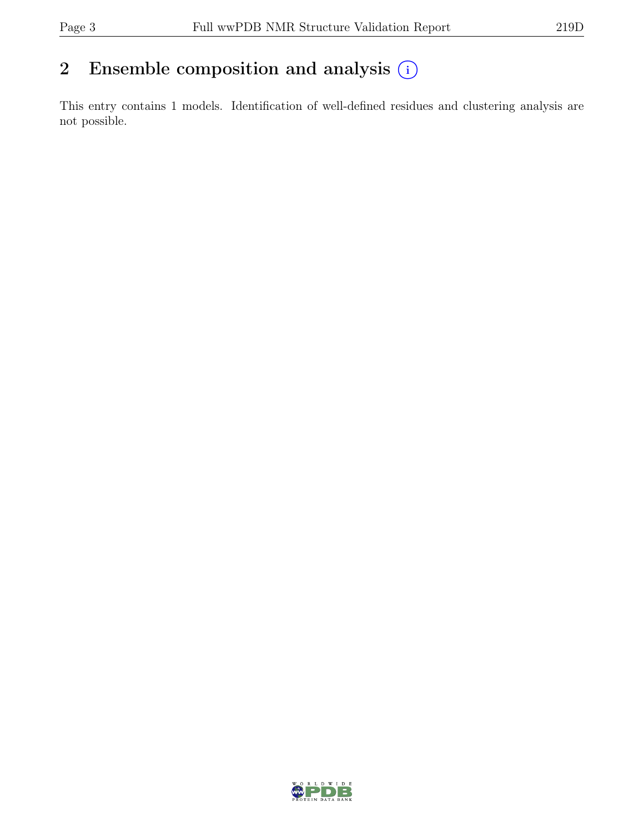### 2 Ensemble composition and analysis  $(i)$

This entry contains 1 models. Identification of well-defined residues and clustering analysis are not possible.

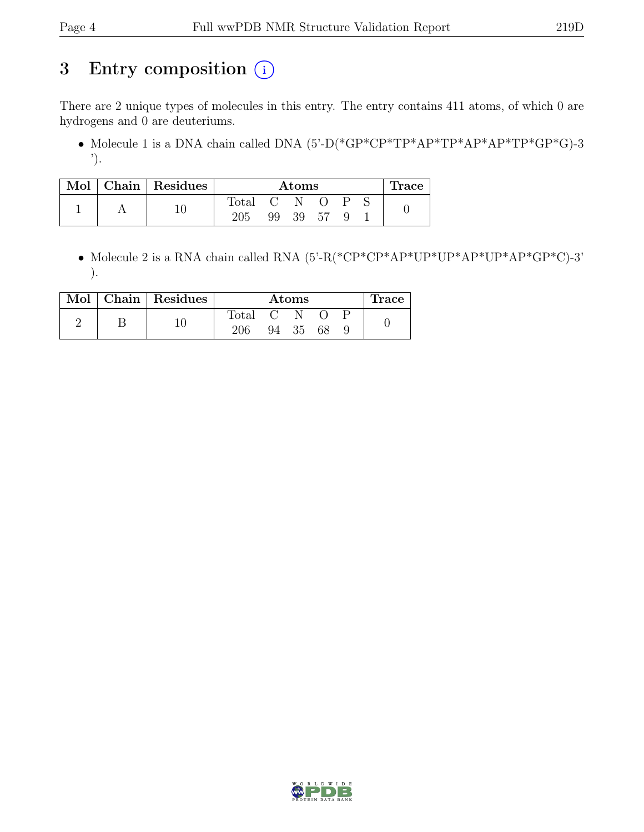## 3 Entry composition  $(i)$

There are 2 unique types of molecules in this entry. The entry contains 411 atoms, of which 0 are hydrogens and 0 are deuteriums.

• Molecule 1 is a DNA chain called DNA  $(5)-D(*GP*CP*TP*AP*TP*AP*TP*AP*TP*GP*G)-3$ ').

|  | Mol   Chain   Residues |                | Atoms |    |    |   |  | Trace |
|--|------------------------|----------------|-------|----|----|---|--|-------|
|  |                        | $_{\rm Total}$ |       |    |    | ⊃ |  |       |
|  |                        | 205            | 99    | 39 | 57 |   |  |       |

• Molecule 2 is a RNA chain called RNA  $(5'-R(*\text{CP*}\text{CP*}\text{AP*}\text{UP*}\text{AP*}\text{UP*}\text{AP*}\text{UP*}\text{AP*}\text{GP*}\text{CP*}\text{CP*}^*)$ ).

|  | Mol   Chain   Residues | Atoms          |    |    |    | Trace |  |
|--|------------------------|----------------|----|----|----|-------|--|
|  |                        | $\text{Total}$ |    |    |    |       |  |
|  |                        | 206            | 94 | 35 | 68 |       |  |

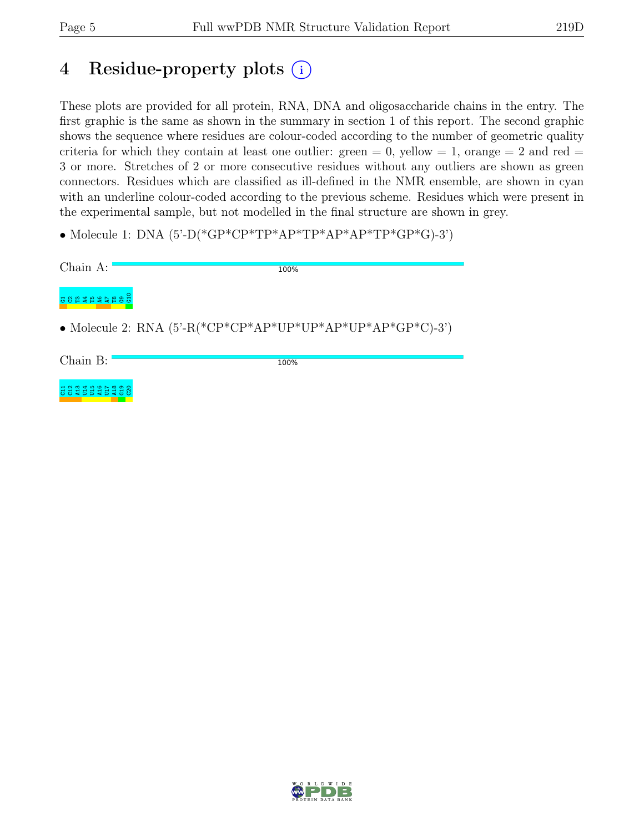5 3 3 4 5 5 4 5 5

8]<br>5  $_{\rm c2}^{\rm o}$ 

### 4 Residue-property plots (i)

These plots are provided for all protein, RNA, DNA and oligosaccharide chains in the entry. The first graphic is the same as shown in the summary in section 1 of this report. The second graphic shows the sequence where residues are colour-coded according to the number of geometric quality criteria for which they contain at least one outlier: green  $= 0$ , yellow  $= 1$ , orange  $= 2$  and red  $=$ 3 or more. Stretches of 2 or more consecutive residues without any outliers are shown as green connectors. Residues which are classified as ill-defined in the NMR ensemble, are shown in cyan with an underline colour-coded according to the previous scheme. Residues which were present in the experimental sample, but not modelled in the final structure are shown in grey.

• Molecule 1: DNA  $(5'-D(*GP*CP*TP*AP*TP*AP*TP*AP*TP*GP*GP*G)-3')$ 

| Chain A: | 100%                                                                 |
|----------|----------------------------------------------------------------------|
|          |                                                                      |
|          | • Molecule 2: RNA $(5^{\circ}$ -R(*CP*CP*AP*UP*UP*AP*UP*AP*GP*C)-3') |
| Chain B: | 100%                                                                 |

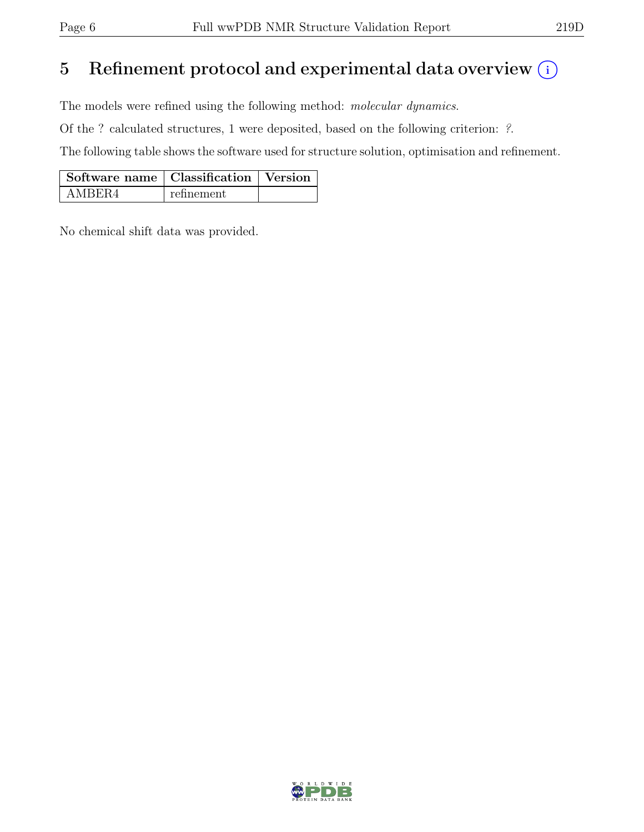## 5 Refinement protocol and experimental data overview  $\binom{1}{k}$

The models were refined using the following method: molecular dynamics.

Of the ? calculated structures, 1 were deposited, based on the following criterion: ?.

The following table shows the software used for structure solution, optimisation and refinement.

| Software name   Classification   Version |            |  |
|------------------------------------------|------------|--|
| AMBER4                                   | refinement |  |

No chemical shift data was provided.

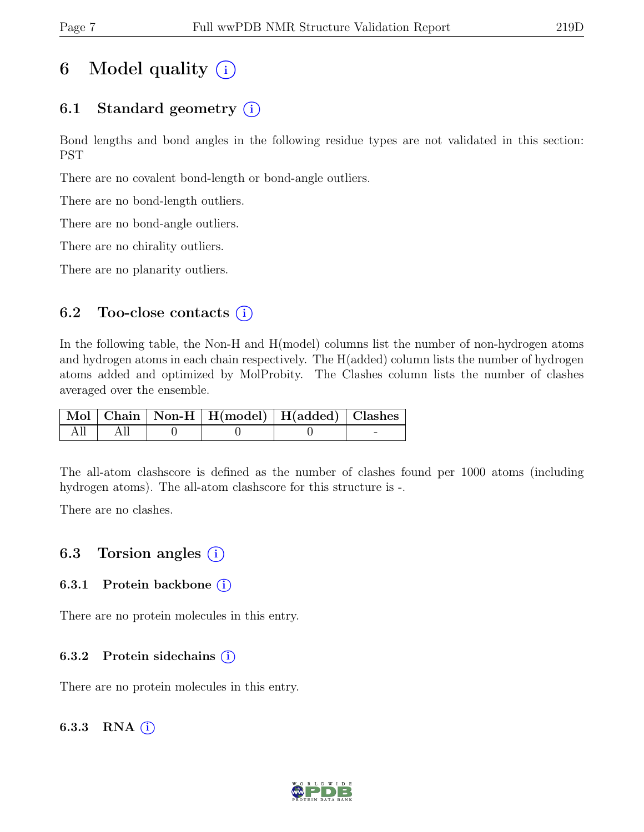## 6 Model quality  $(i)$

### 6.1 Standard geometry  $(i)$

Bond lengths and bond angles in the following residue types are not validated in this section: PST

There are no covalent bond-length or bond-angle outliers.

There are no bond-length outliers.

There are no bond-angle outliers.

There are no chirality outliers.

There are no planarity outliers.

### 6.2 Too-close contacts  $(i)$

In the following table, the Non-H and H(model) columns list the number of non-hydrogen atoms and hydrogen atoms in each chain respectively. The H(added) column lists the number of hydrogen atoms added and optimized by MolProbity. The Clashes column lists the number of clashes averaged over the ensemble.

|  | $\mid$ Mol $\mid$ Chain $\mid$ Non-H $\mid$ H(model) $\mid$ H(added) $\mid$ Clashes |  |
|--|-------------------------------------------------------------------------------------|--|
|  |                                                                                     |  |

The all-atom clashscore is defined as the number of clashes found per 1000 atoms (including hydrogen atoms). The all-atom clashscore for this structure is -.

There are no clashes.

### 6.3 Torsion angles  $(i)$

#### 6.3.1 Protein backbone (i)

There are no protein molecules in this entry.

#### 6.3.2 Protein sidechains  $(i)$

There are no protein molecules in this entry.

#### 6.3.3 RNA  $(i)$

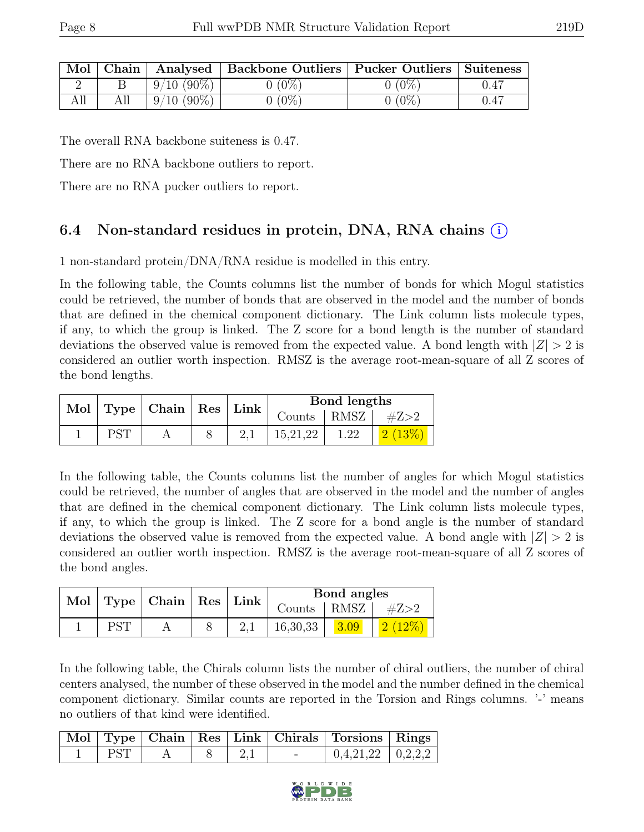| $\mid$ Mol $\mid$ Chain $\mid$ |                 | Analysed   Backbone Outliers   Pucker Outliers   Suiteness |          |      |
|--------------------------------|-----------------|------------------------------------------------------------|----------|------|
|                                | $+9/10(90\%) +$ | $0(0\%)$                                                   | $0(0\%)$ | 0.47 |
| All                            | $9/10(90\%)$    | $0(0\%)$                                                   | $0(0\%)$ | 0.47 |

The overall RNA backbone suiteness is 0.47.

There are no RNA backbone outliers to report.

There are no RNA pucker outliers to report.

### 6.4 Non-standard residues in protein, DNA, RNA chains (i)

1 non-standard protein/DNA/RNA residue is modelled in this entry.

In the following table, the Counts columns list the number of bonds for which Mogul statistics could be retrieved, the number of bonds that are observed in the model and the number of bonds that are defined in the chemical component dictionary. The Link column lists molecule types, if any, to which the group is linked. The Z score for a bond length is the number of standard deviations the observed value is removed from the expected value. A bond length with  $|Z| > 2$  is considered an outlier worth inspection. RMSZ is the average root-mean-square of all Z scores of the bond lengths.

|  | Mol   Type   Chain   Res   Link |  |                         |      |  |  |  | Bond lengths |  |
|--|---------------------------------|--|-------------------------|------|--|--|--|--------------|--|
|  |                                 |  | Counts   RMSZ   $\#Z>2$ |      |  |  |  |              |  |
|  |                                 |  | 15,21,22                | 1.22 |  |  |  |              |  |

In the following table, the Counts columns list the number of angles for which Mogul statistics could be retrieved, the number of angles that are observed in the model and the number of angles that are defined in the chemical component dictionary. The Link column lists molecule types, if any, to which the group is linked. The Z score for a bond angle is the number of standard deviations the observed value is removed from the expected value. A bond angle with  $|Z| > 2$  is considered an outlier worth inspection. RMSZ is the average root-mean-square of all Z scores of the bond angles.

|  | Mol   Type   Chain   Res   Link |  | Bond angles   |  |      |
|--|---------------------------------|--|---------------|--|------|
|  |                                 |  | Counts   RMSZ |  | #Z>2 |
|  |                                 |  | 16,30,33      |  |      |

In the following table, the Chirals column lists the number of chiral outliers, the number of chiral centers analysed, the number of these observed in the model and the number defined in the chemical component dictionary. Similar counts are reported in the Torsion and Rings columns. '-' means no outliers of that kind were identified.

|            |  |                          | Mol   Type   Chain   Res   Link   Chirals   Torsions   Rings |  |
|------------|--|--------------------------|--------------------------------------------------------------|--|
| <b>PST</b> |  | $\overline{\phantom{0}}$ | $0,4,21,22$   $0,2,2,2$                                      |  |

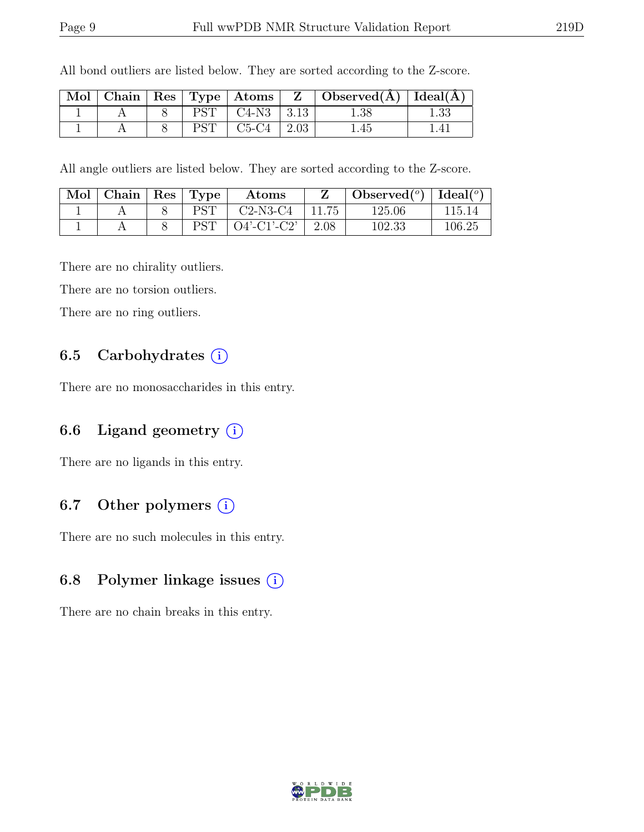| Mol |  |            |                |             | $\mid$ Chain $\mid$ Res $\mid$ Type $\mid$ Atoms $\mid$ Z $\mid$ Observed(A) $\mid$ Ideal(A) |  |
|-----|--|------------|----------------|-------------|----------------------------------------------------------------------------------------------|--|
|     |  | <b>PST</b> | $C4-N3$   3.13 |             | $1.38\,$                                                                                     |  |
|     |  | DCT        | $C5-C4$        | $\mid$ 2.03 | . 45                                                                                         |  |

All bond outliers are listed below. They are sorted according to the Z-score.

All angle outliers are listed below. They are sorted according to the Z-score.

| Mol | Chain   $\operatorname{Res}$ | $\perp$ Type | Atoms          |       | Observed <sup>(<math>^o</math>)</sup> [deal( $^o$ ) |        |
|-----|------------------------------|--------------|----------------|-------|-----------------------------------------------------|--------|
|     |                              | PST          | $C2-N3-C4$     | 11.75 | 125.06                                              | 115.14 |
|     |                              | DCT          | $O4'$ -C1'-C2' | 2.08  | 102.33                                              | 106.25 |

There are no chirality outliers.

There are no torsion outliers.

There are no ring outliers.

### 6.5 Carbohydrates  $(i)$

There are no monosaccharides in this entry.

#### 6.6 Ligand geometry  $(i)$

There are no ligands in this entry.

### 6.7 Other polymers  $(i)$

There are no such molecules in this entry.

#### 6.8 Polymer linkage issues  $(i)$

There are no chain breaks in this entry.